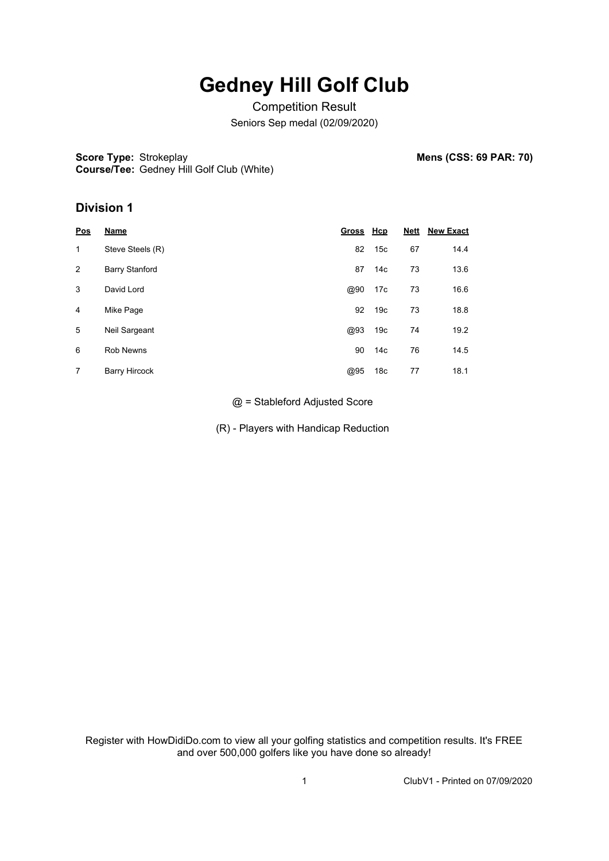## **Gedney Hill Golf Club**

Competition Result Seniors Sep medal (02/09/2020)

**Score Type: Strokeplay Course/Tee:** Gedney Hill Golf Club (White) **Mens (CSS: 69 PAR: 70)** 

### **Division 1**

| Pos | Name                  | Gross Hcp |                 | <b>Nett</b> | <b>New Exact</b> |
|-----|-----------------------|-----------|-----------------|-------------|------------------|
| 1   | Steve Steels (R)      | 82        | 15c             | 67          | 14.4             |
| 2   | <b>Barry Stanford</b> | 87        | 14 <sub>c</sub> | 73          | 13.6             |
| 3   | David Lord            | @90       | 17c             | 73          | 16.6             |
| 4   | Mike Page             | 92        | 19 <sub>c</sub> | 73          | 18.8             |
| 5   | Neil Sargeant         | @93       | 19 <sub>c</sub> | 74          | 19.2             |
| 6   | <b>Rob Newns</b>      | 90        | 14 <sub>c</sub> | 76          | 14.5             |
| 7   | <b>Barry Hircock</b>  | @95       | 18 <sub>c</sub> | 77          | 18.1             |

@ = Stableford Adjusted Score

(R) - Players with Handicap Reduction

Register with HowDidiDo.com to view all your golfing statistics and competition results. It's FREE and over 500,000 golfers like you have done so already!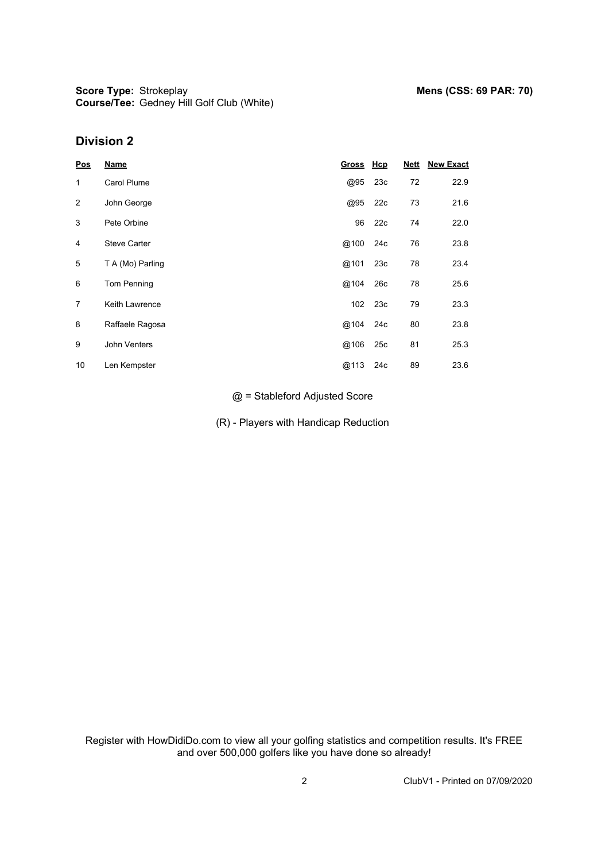## **Division 2**

| Pos            | <b>Name</b>         | Gross Hcp |     | <b>Nett</b> | <b>New Exact</b> |
|----------------|---------------------|-----------|-----|-------------|------------------|
| 1              | Carol Plume         | @95       | 23c | 72          | 22.9             |
| 2              | John George         | @95       | 22c | 73          | 21.6             |
| 3              | Pete Orbine         | 96        | 22c | 74          | 22.0             |
| 4              | <b>Steve Carter</b> | @100      | 24c | 76          | 23.8             |
| 5              | T A (Mo) Parling    | @101      | 23c | 78          | 23.4             |
| 6              | Tom Penning         | @104      | 26c | 78          | 25.6             |
| $\overline{7}$ | Keith Lawrence      | 102       | 23c | 79          | 23.3             |
| 8              | Raffaele Ragosa     | @104      | 24c | 80          | 23.8             |
| 9              | John Venters        | @106      | 25c | 81          | 25.3             |
| 10             | Len Kempster        | @113      | 24c | 89          | 23.6             |

#### @ = Stableford Adjusted Score

(R) - Players with Handicap Reduction

Register with HowDidiDo.com to view all your golfing statistics and competition results. It's FREE and over 500,000 golfers like you have done so already!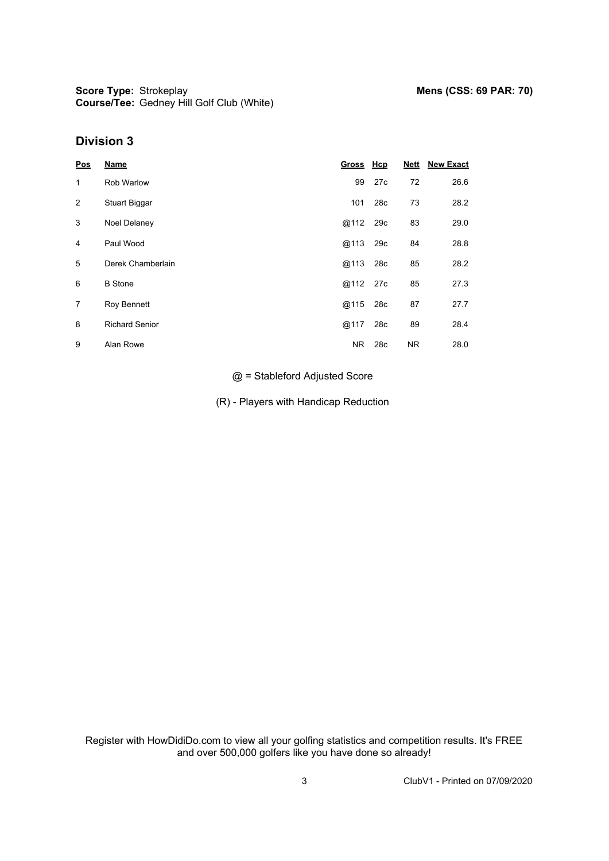## **Division 3**

| <b>Pos</b> | <b>Name</b>           | Gross Hcp |                 | <b>Nett</b> | <b>New Exact</b> |
|------------|-----------------------|-----------|-----------------|-------------|------------------|
| 1          | <b>Rob Warlow</b>     | 99        | 27c             | 72          | 26.6             |
| 2          | Stuart Biggar         | 101       | 28 <sub>c</sub> | 73          | 28.2             |
| 3          | Noel Delaney          | @112      | 29c             | 83          | 29.0             |
| 4          | Paul Wood             | @113      | 29c             | 84          | 28.8             |
| 5          | Derek Chamberlain     | @113      | 28c             | 85          | 28.2             |
| 6          | <b>B</b> Stone        | @112      | 27c             | 85          | 27.3             |
| 7          | Roy Bennett           | @115      | 28c             | 87          | 27.7             |
| 8          | <b>Richard Senior</b> | @117      | 28c             | 89          | 28.4             |
| 9          | Alan Rowe             | NR.       | 28c             | <b>NR</b>   | 28.0             |

@ = Stableford Adjusted Score

(R) - Players with Handicap Reduction

Register with HowDidiDo.com to view all your golfing statistics and competition results. It's FREE and over 500,000 golfers like you have done so already!